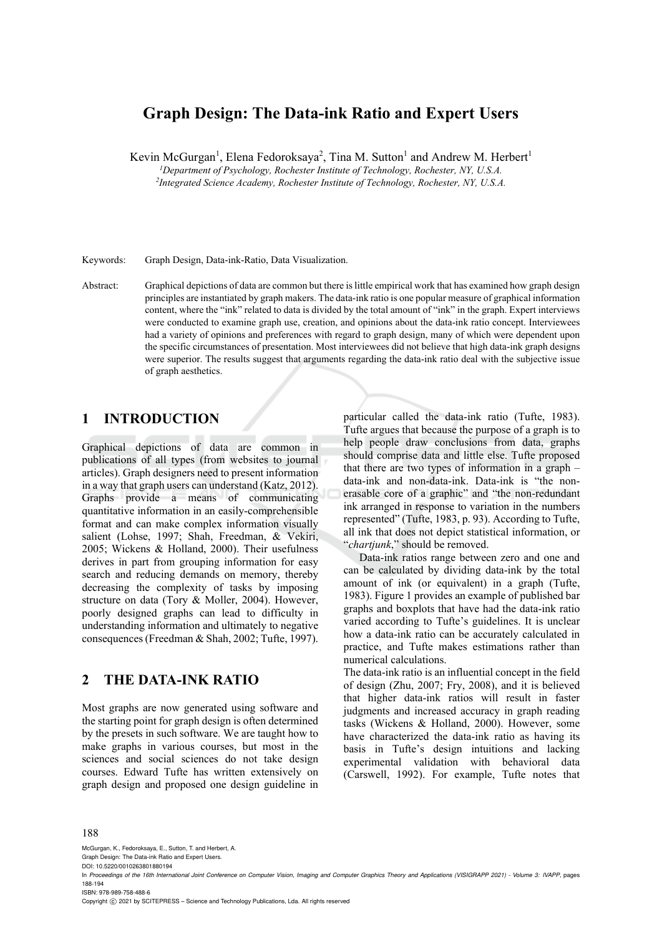# **Graph Design: The Data-ink Ratio and Expert Users**

Kevin McGurgan<sup>1</sup>, Elena Fedoroksaya<sup>2</sup>, Tina M. Sutton<sup>1</sup> and Andrew M. Herbert<sup>1</sup>

*<sup>1</sup>Department of Psychology, Rochester Institute of Technology, Rochester, NY, U.S.A.*<br><sup>2</sup>Integrated Science Academy, Rochester Institute of Technology, Rochester, NY, U.S. 4

*Integrated Science Academy, Rochester Institute of Technology, Rochester, NY, U.S.A.* 

Keywords: Graph Design, Data-ink-Ratio, Data Visualization.

Abstract: Graphical depictions of data are common but there is little empirical work that has examined how graph design principles are instantiated by graph makers. The data-ink ratio is one popular measure of graphical information content, where the "ink" related to data is divided by the total amount of "ink" in the graph. Expert interviews were conducted to examine graph use, creation, and opinions about the data-ink ratio concept. Interviewees had a variety of opinions and preferences with regard to graph design, many of which were dependent upon the specific circumstances of presentation. Most interviewees did not believe that high data-ink graph designs were superior. The results suggest that arguments regarding the data-ink ratio deal with the subjective issue of graph aesthetics.

# **1 INTRODUCTION**

Graphical depictions of data are common in publications of all types (from websites to journal articles). Graph designers need to present information in a way that graph users can understand (Katz, 2012). Graphs provide a means of communicating quantitative information in an easily-comprehensible format and can make complex information visually salient (Lohse, 1997; Shah, Freedman, & Vekiri, 2005; Wickens & Holland, 2000). Their usefulness derives in part from grouping information for easy search and reducing demands on memory, thereby decreasing the complexity of tasks by imposing structure on data (Tory & Moller, 2004). However, poorly designed graphs can lead to difficulty in understanding information and ultimately to negative consequences (Freedman & Shah, 2002; Tufte, 1997).

## **2 THE DATA-INK RATIO**

Most graphs are now generated using software and the starting point for graph design is often determined by the presets in such software. We are taught how to make graphs in various courses, but most in the sciences and social sciences do not take design courses. Edward Tufte has written extensively on graph design and proposed one design guideline in

particular called the data-ink ratio (Tufte, 1983). Tufte argues that because the purpose of a graph is to help people draw conclusions from data, graphs should comprise data and little else. Tufte proposed that there are two types of information in a graph – data-ink and non-data-ink. Data-ink is "the nonerasable core of a graphic" and "the non-redundant ink arranged in response to variation in the numbers represented" (Tufte, 1983, p. 93). According to Tufte, all ink that does not depict statistical information, or "*chartjunk*," should be removed.

Data-ink ratios range between zero and one and can be calculated by dividing data-ink by the total amount of ink (or equivalent) in a graph (Tufte, 1983). Figure 1 provides an example of published bar graphs and boxplots that have had the data-ink ratio varied according to Tufte's guidelines. It is unclear how a data-ink ratio can be accurately calculated in practice, and Tufte makes estimations rather than numerical calculations.

The data-ink ratio is an influential concept in the field of design (Zhu, 2007; Fry, 2008), and it is believed that higher data-ink ratios will result in faster judgments and increased accuracy in graph reading tasks (Wickens & Holland, 2000). However, some have characterized the data-ink ratio as having its basis in Tufte's design intuitions and lacking experimental validation with behavioral data (Carswell, 1992). For example, Tufte notes that

#### 188

McGurgan, K., Fedoroksaya, E., Sutton, T. and Herbert, A.

Graph Design: The Data-ink Ratio and Expert Users. DOI: 10.5220/0010263801880194

ISBN: 978-989-758-488-6

Copyright (C) 2021 by SCITEPRESS - Science and Technology Publications, Lda. All rights reserved

In *Proceedings of the 16th International Joint Conference on Computer Vision, Imaging and Computer Graphics Theory and Applications (VISIGRAPP 2021) - Volume 3: IVAPP*, pages 188-194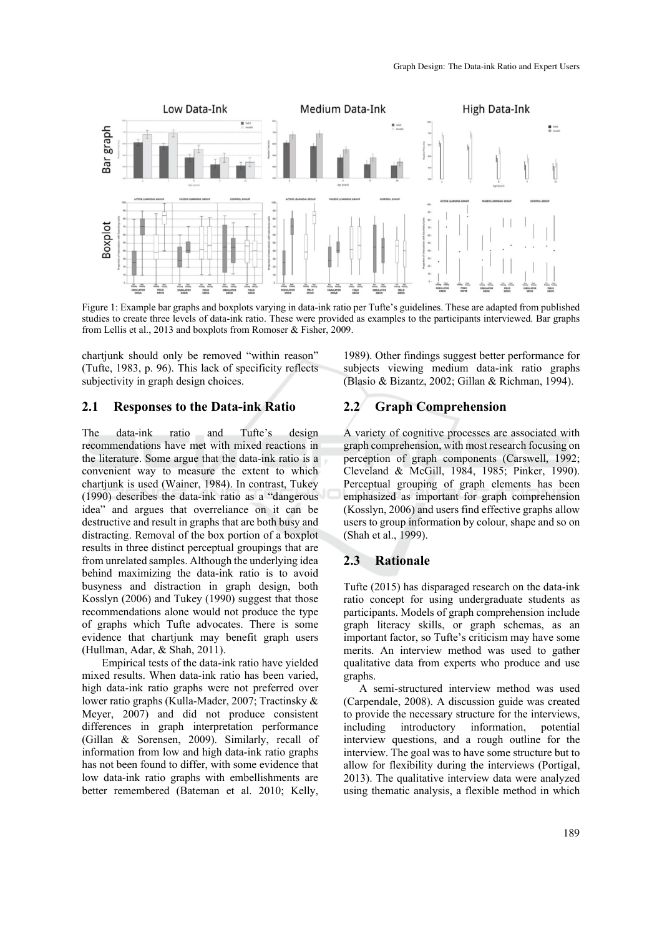

Figure 1: Example bar graphs and boxplots varying in data-ink ratio per Tufte's guidelines. These are adapted from published studies to create three levels of data-ink ratio. These were provided as examples to the participants interviewed. Bar graphs from Lellis et al., 2013 and boxplots from Romoser & Fisher, 2009.

chartjunk should only be removed "within reason" (Tufte, 1983, p. 96). This lack of specificity reflects subjectivity in graph design choices.

#### **2.1 Responses to the Data-ink Ratio**

The data-ink ratio and Tufte's design recommendations have met with mixed reactions in the literature. Some argue that the data-ink ratio is a convenient way to measure the extent to which chartjunk is used (Wainer, 1984). In contrast, Tukey (1990) describes the data-ink ratio as a "dangerous idea" and argues that overreliance on it can be destructive and result in graphs that are both busy and distracting. Removal of the box portion of a boxplot results in three distinct perceptual groupings that are from unrelated samples. Although the underlying idea behind maximizing the data-ink ratio is to avoid busyness and distraction in graph design, both Kosslyn (2006) and Tukey (1990) suggest that those recommendations alone would not produce the type of graphs which Tufte advocates. There is some evidence that chartjunk may benefit graph users (Hullman, Adar, & Shah, 2011).

 Empirical tests of the data-ink ratio have yielded mixed results. When data-ink ratio has been varied, high data-ink ratio graphs were not preferred over lower ratio graphs (Kulla-Mader, 2007; Tractinsky & Meyer, 2007) and did not produce consistent differences in graph interpretation performance (Gillan & Sorensen, 2009). Similarly, recall of information from low and high data-ink ratio graphs has not been found to differ, with some evidence that low data-ink ratio graphs with embellishments are better remembered (Bateman et al. 2010; Kelly,

1989). Other findings suggest better performance for subjects viewing medium data-ink ratio graphs (Blasio & Bizantz, 2002; Gillan & Richman, 1994).

#### **2.2 Graph Comprehension**

A variety of cognitive processes are associated with graph comprehension, with most research focusing on perception of graph components (Carswell, 1992; Cleveland & McGill, 1984, 1985; Pinker, 1990). Perceptual grouping of graph elements has been emphasized as important for graph comprehension (Kosslyn, 2006) and users find effective graphs allow users to group information by colour, shape and so on (Shah et al., 1999).

#### **2.3 Rationale**

Tufte (2015) has disparaged research on the data-ink ratio concept for using undergraduate students as participants. Models of graph comprehension include graph literacy skills, or graph schemas, as an important factor, so Tufte's criticism may have some merits. An interview method was used to gather qualitative data from experts who produce and use graphs.

A semi-structured interview method was used (Carpendale, 2008). A discussion guide was created to provide the necessary structure for the interviews,<br>including introductory information, potential introductory information, potential interview questions, and a rough outline for the interview. The goal was to have some structure but to allow for flexibility during the interviews (Portigal, 2013). The qualitative interview data were analyzed using thematic analysis, a flexible method in which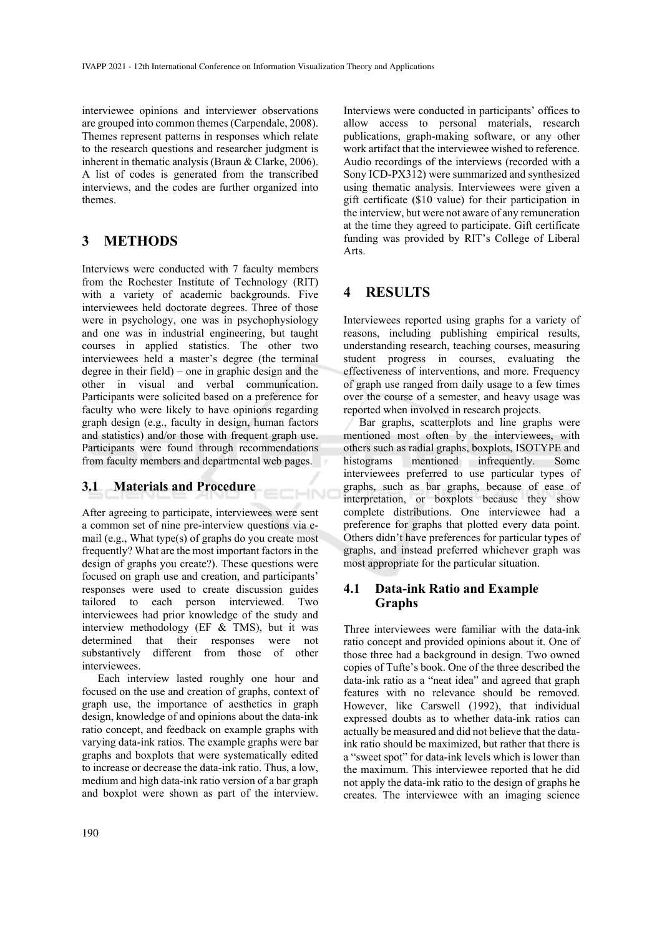interviewee opinions and interviewer observations are grouped into common themes (Carpendale, 2008). Themes represent patterns in responses which relate to the research questions and researcher judgment is inherent in thematic analysis (Braun & Clarke, 2006). A list of codes is generated from the transcribed interviews, and the codes are further organized into themes.

# **3 METHODS**

Interviews were conducted with 7 faculty members from the Rochester Institute of Technology (RIT) with a variety of academic backgrounds. Five interviewees held doctorate degrees. Three of those were in psychology, one was in psychophysiology and one was in industrial engineering, but taught courses in applied statistics. The other two interviewees held a master's degree (the terminal degree in their field) – one in graphic design and the other in visual and verbal communication. Participants were solicited based on a preference for faculty who were likely to have opinions regarding graph design (e.g., faculty in design, human factors and statistics) and/or those with frequent graph use. Participants were found through recommendations from faculty members and departmental web pages.

### **3.1 Materials and Procedure**

After agreeing to participate, interviewees were sent a common set of nine pre-interview questions via email (e.g., What type(s) of graphs do you create most frequently? What are the most important factors in the design of graphs you create?). These questions were focused on graph use and creation, and participants' responses were used to create discussion guides tailored to each person interviewed. Two interviewees had prior knowledge of the study and interview methodology (EF & TMS), but it was determined that their responses were not substantively different from those of other interviewees.

**CHNO** 

Each interview lasted roughly one hour and focused on the use and creation of graphs, context of graph use, the importance of aesthetics in graph design, knowledge of and opinions about the data-ink ratio concept, and feedback on example graphs with varying data-ink ratios. The example graphs were bar graphs and boxplots that were systematically edited to increase or decrease the data-ink ratio. Thus, a low, medium and high data-ink ratio version of a bar graph and boxplot were shown as part of the interview.

Interviews were conducted in participants' offices to allow access to personal materials, research publications, graph-making software, or any other work artifact that the interviewee wished to reference. Audio recordings of the interviews (recorded with a Sony ICD-PX312) were summarized and synthesized using thematic analysis. Interviewees were given a gift certificate (\$10 value) for their participation in the interview, but were not aware of any remuneration at the time they agreed to participate. Gift certificate funding was provided by RIT's College of Liberal Arts.

### **4 RESULTS**

Interviewees reported using graphs for a variety of reasons, including publishing empirical results, understanding research, teaching courses, measuring student progress in courses, evaluating the effectiveness of interventions, and more. Frequency of graph use ranged from daily usage to a few times over the course of a semester, and heavy usage was reported when involved in research projects.

Bar graphs, scatterplots and line graphs were mentioned most often by the interviewees, with others such as radial graphs, boxplots, ISOTYPE and histograms mentioned infrequently. Some interviewees preferred to use particular types of graphs, such as bar graphs, because of ease of interpretation, or boxplots because they show complete distributions. One interviewee had a preference for graphs that plotted every data point. Others didn't have preferences for particular types of graphs, and instead preferred whichever graph was most appropriate for the particular situation.

### **4.1 Data-ink Ratio and Example Graphs**

Three interviewees were familiar with the data-ink ratio concept and provided opinions about it. One of those three had a background in design. Two owned copies of Tufte's book. One of the three described the data-ink ratio as a "neat idea" and agreed that graph features with no relevance should be removed. However, like Carswell (1992), that individual expressed doubts as to whether data-ink ratios can actually be measured and did not believe that the dataink ratio should be maximized, but rather that there is a "sweet spot" for data-ink levels which is lower than the maximum. This interviewee reported that he did not apply the data-ink ratio to the design of graphs he creates. The interviewee with an imaging science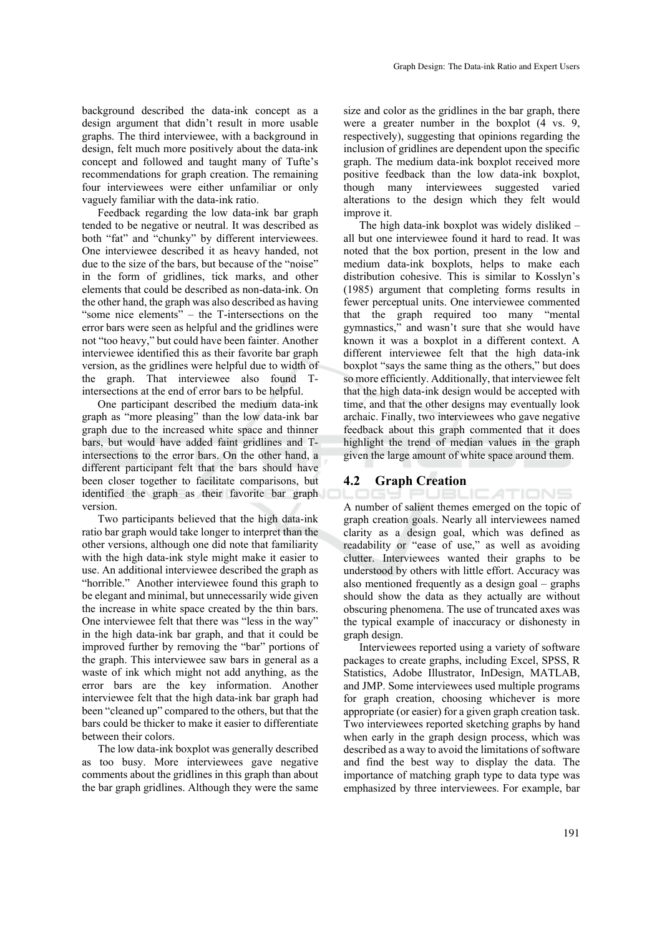background described the data-ink concept as a design argument that didn't result in more usable graphs. The third interviewee, with a background in design, felt much more positively about the data-ink concept and followed and taught many of Tufte's recommendations for graph creation. The remaining four interviewees were either unfamiliar or only vaguely familiar with the data-ink ratio.

Feedback regarding the low data-ink bar graph tended to be negative or neutral. It was described as both "fat" and "chunky" by different interviewees. One interviewee described it as heavy handed, not due to the size of the bars, but because of the "noise" in the form of gridlines, tick marks, and other elements that could be described as non-data-ink. On the other hand, the graph was also described as having "some nice elements" – the T-intersections on the error bars were seen as helpful and the gridlines were not "too heavy," but could have been fainter. Another interviewee identified this as their favorite bar graph version, as the gridlines were helpful due to width of the graph. That interviewee also found Tintersections at the end of error bars to be helpful.

One participant described the medium data-ink graph as "more pleasing" than the low data-ink bar graph due to the increased white space and thinner bars, but would have added faint gridlines and Tintersections to the error bars. On the other hand, a different participant felt that the bars should have been closer together to facilitate comparisons, but identified the graph as their favorite bar graph version.

Two participants believed that the high data-ink ratio bar graph would take longer to interpret than the other versions, although one did note that familiarity with the high data-ink style might make it easier to use. An additional interviewee described the graph as "horrible." Another interviewee found this graph to be elegant and minimal, but unnecessarily wide given the increase in white space created by the thin bars. One interviewee felt that there was "less in the way" in the high data-ink bar graph, and that it could be improved further by removing the "bar" portions of the graph. This interviewee saw bars in general as a waste of ink which might not add anything, as the error bars are the key information. Another interviewee felt that the high data-ink bar graph had been "cleaned up" compared to the others, but that the bars could be thicker to make it easier to differentiate between their colors.

The low data-ink boxplot was generally described as too busy. More interviewees gave negative comments about the gridlines in this graph than about the bar graph gridlines. Although they were the same

size and color as the gridlines in the bar graph, there were a greater number in the boxplot (4 vs. 9, respectively), suggesting that opinions regarding the inclusion of gridlines are dependent upon the specific graph. The medium data-ink boxplot received more positive feedback than the low data-ink boxplot, though many interviewees suggested varied alterations to the design which they felt would improve it.

The high data-ink boxplot was widely disliked – all but one interviewee found it hard to read. It was noted that the box portion, present in the low and medium data-ink boxplots, helps to make each distribution cohesive. This is similar to Kosslyn's (1985) argument that completing forms results in fewer perceptual units. One interviewee commented that the graph required too many "mental gymnastics," and wasn't sure that she would have known it was a boxplot in a different context. A different interviewee felt that the high data-ink boxplot "says the same thing as the others," but does so more efficiently. Additionally, that interviewee felt that the high data-ink design would be accepted with time, and that the other designs may eventually look archaic. Finally, two interviewees who gave negative feedback about this graph commented that it does highlight the trend of median values in the graph given the large amount of white space around them.

#### **4.2 Graph Creation**

PUBLICATIONS A number of salient themes emerged on the topic of graph creation goals. Nearly all interviewees named clarity as a design goal, which was defined as readability or "ease of use," as well as avoiding clutter. Interviewees wanted their graphs to be understood by others with little effort. Accuracy was also mentioned frequently as a design goal – graphs should show the data as they actually are without obscuring phenomena. The use of truncated axes was the typical example of inaccuracy or dishonesty in graph design.

Interviewees reported using a variety of software packages to create graphs, including Excel, SPSS, R Statistics, Adobe Illustrator, InDesign, MATLAB, and JMP. Some interviewees used multiple programs for graph creation, choosing whichever is more appropriate (or easier) for a given graph creation task. Two interviewees reported sketching graphs by hand when early in the graph design process, which was described as a way to avoid the limitations of software and find the best way to display the data. The importance of matching graph type to data type was emphasized by three interviewees. For example, bar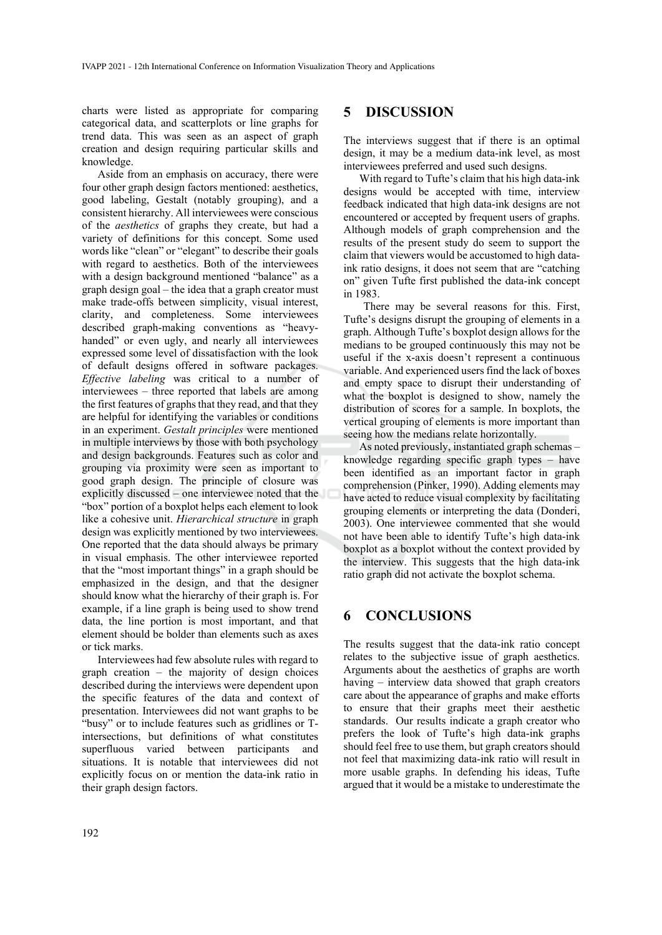charts were listed as appropriate for comparing categorical data, and scatterplots or line graphs for trend data. This was seen as an aspect of graph creation and design requiring particular skills and knowledge.

Aside from an emphasis on accuracy, there were four other graph design factors mentioned: aesthetics, good labeling, Gestalt (notably grouping), and a consistent hierarchy. All interviewees were conscious of the *aesthetics* of graphs they create, but had a variety of definitions for this concept. Some used words like "clean" or "elegant" to describe their goals with regard to aesthetics. Both of the interviewees with a design background mentioned "balance" as a graph design goal – the idea that a graph creator must make trade-offs between simplicity, visual interest, clarity, and completeness. Some interviewees described graph-making conventions as "heavyhanded" or even ugly, and nearly all interviewees expressed some level of dissatisfaction with the look of default designs offered in software packages. *Effective labeling* was critical to a number of interviewees – three reported that labels are among the first features of graphs that they read, and that they are helpful for identifying the variables or conditions in an experiment. *Gestalt principles* were mentioned in multiple interviews by those with both psychology and design backgrounds. Features such as color and grouping via proximity were seen as important to good graph design. The principle of closure was explicitly discussed – one interviewee noted that the "box" portion of a boxplot helps each element to look like a cohesive unit. *Hierarchical structure* in graph design was explicitly mentioned by two interviewees. One reported that the data should always be primary in visual emphasis. The other interviewee reported that the "most important things" in a graph should be emphasized in the design, and that the designer should know what the hierarchy of their graph is. For example, if a line graph is being used to show trend data, the line portion is most important, and that element should be bolder than elements such as axes or tick marks.

Interviewees had few absolute rules with regard to graph creation – the majority of design choices described during the interviews were dependent upon the specific features of the data and context of presentation. Interviewees did not want graphs to be "busy" or to include features such as gridlines or Tintersections, but definitions of what constitutes superfluous varied between participants and situations. It is notable that interviewees did not explicitly focus on or mention the data-ink ratio in their graph design factors.

#### **5 DISCUSSION**

The interviews suggest that if there is an optimal design, it may be a medium data-ink level, as most interviewees preferred and used such designs.

With regard to Tufte's claim that his high data-ink designs would be accepted with time, interview feedback indicated that high data-ink designs are not encountered or accepted by frequent users of graphs. Although models of graph comprehension and the results of the present study do seem to support the claim that viewers would be accustomed to high dataink ratio designs, it does not seem that are "catching on" given Tufte first published the data-ink concept in 1983.

There may be several reasons for this. First, Tufte's designs disrupt the grouping of elements in a graph. Although Tufte's boxplot design allows for the medians to be grouped continuously this may not be useful if the x-axis doesn't represent a continuous variable. And experienced users find the lack of boxes and empty space to disrupt their understanding of what the boxplot is designed to show, namely the distribution of scores for a sample. In boxplots, the vertical grouping of elements is more important than seeing how the medians relate horizontally.

As noted previously, instantiated graph schemas – knowledge regarding specific graph types – have been identified as an important factor in graph comprehension (Pinker, 1990). Adding elements may have acted to reduce visual complexity by facilitating grouping elements or interpreting the data (Donderi, 2003). One interviewee commented that she would not have been able to identify Tufte's high data-ink boxplot as a boxplot without the context provided by the interview. This suggests that the high data-ink ratio graph did not activate the boxplot schema.

# **6 CONCLUSIONS**

The results suggest that the data-ink ratio concept relates to the subjective issue of graph aesthetics. Arguments about the aesthetics of graphs are worth having – interview data showed that graph creators care about the appearance of graphs and make efforts to ensure that their graphs meet their aesthetic standards. Our results indicate a graph creator who prefers the look of Tufte's high data-ink graphs should feel free to use them, but graph creators should not feel that maximizing data-ink ratio will result in more usable graphs. In defending his ideas, Tufte argued that it would be a mistake to underestimate the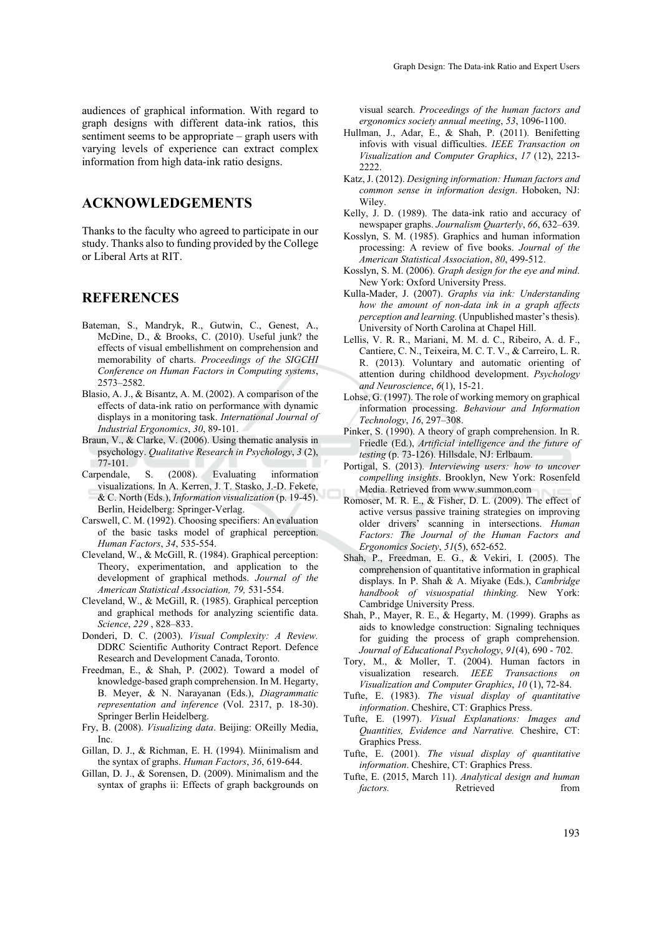### **ACKNOWLEDGEMENTS**

Thanks to the faculty who agreed to participate in our study. Thanks also to funding provided by the College or Liberal Arts at RIT.

### **REFERENCES**

- Bateman, S., Mandryk, R., Gutwin, C., Genest, A., McDine, D., & Brooks, C. (2010). Useful junk? the effects of visual embellishment on comprehension and memorability of charts. *Proceedings of the SIGCHI Conference on Human Factors in Computing systems*, 2573–2582.
- Blasio, A. J., & Bisantz, A. M. (2002). A comparison of the effects of data-ink ratio on performance with dynamic displays in a monitoring task. *International Journal of Industrial Ergonomics*, *30*, 89-101.
- Braun, V., & Clarke, V. (2006). Using thematic analysis in psychology. *Qualitative Research in Psychology*, *3* (2), 77-101.
- Carpendale, S. (2008). Evaluating information visualizations. In A. Kerren, J. T. Stasko, J.-D. Fekete, & C. North (Eds.), *Information visualization* (p. 19-45). Berlin, Heidelberg: Springer-Verlag.
- Carswell, C. M. (1992). Choosing specifiers: An evaluation of the basic tasks model of graphical perception. *Human Factors*, *34*, 535-554.
- Cleveland, W., & McGill, R. (1984). Graphical perception: Theory, experimentation, and application to the development of graphical methods. *Journal of the American Statistical Association, 79,* 531-554.
- Cleveland, W., & McGill, R. (1985). Graphical perception and graphical methods for analyzing scientific data. *Science*, *229* , 828–833.
- Donderi, D. C. (2003). *Visual Complexity: A Review.* DDRC Scientific Authority Contract Report. Defence Research and Development Canada, Toronto.
- Freedman, E., & Shah, P. (2002). Toward a model of knowledge-based graph comprehension. In M. Hegarty, B. Meyer, & N. Narayanan (Eds.), *Diagrammatic representation and inference* (Vol. 2317, p. 18-30). Springer Berlin Heidelberg.
- Fry, B. (2008). *Visualizing data*. Beijing: OReilly Media, Inc.
- Gillan, D. J., & Richman, E. H. (1994). Miinimalism and the syntax of graphs. *Human Factors*, *36*, 619-644.
- Gillan, D. J., & Sorensen, D. (2009). Minimalism and the syntax of graphs ii: Effects of graph backgrounds on

visual search. *Proceedings of the human factors and ergonomics society annual meeting*, *53*, 1096-1100.

- Hullman, J., Adar, E., & Shah, P. (2011). Benifetting infovis with visual difficulties. *IEEE Transaction on Visualization and Computer Graphics*, *17* (12), 2213- 2222.
- Katz, J. (2012). *Designing information: Human factors and common sense in information design*. Hoboken, NJ: Wiley.
- Kelly, J. D. (1989). The data-ink ratio and accuracy of newspaper graphs. *Journalism Quarterly*, *66*, 632–639.
- Kosslyn, S. M. (1985). Graphics and human information processing: A review of five books. *Journal of the American Statistical Association*, *80*, 499-512.
- Kosslyn, S. M. (2006). *Graph design for the eye and mind*. New York: Oxford University Press.
- Kulla-Mader, J. (2007). *Graphs via ink: Understanding how the amount of non-data ink in a graph affects perception and learning.* (Unpublished master's thesis). University of North Carolina at Chapel Hill.
- Lellis, V. R. R., Mariani, M. M. d. C., Ribeiro, A. d. F., Cantiere, C. N., Teixeira, M. C. T. V., & Carreiro, L. R. R. (2013). Voluntary and automatic orienting of attention during childhood development. *Psychology and Neuroscience*, *6*(1), 15-21.
- Lohse, G. (1997). The role of working memory on graphical information processing. *Behaviour and Information Technology*, *16*, 297–308.
- Pinker, S. (1990). A theory of graph comprehension. In R. Friedle (Ed.), *Artificial intelligence and the future of testing* (p. 73-126). Hillsdale, NJ: Erlbaum.
- Portigal, S. (2013). *Interviewing users: how to uncover compelling insights*. Brooklyn, New York: Rosenfeld Media. Retrieved from www.summon.com
- Romoser, M. R. E., & Fisher, D. L. (2009). The effect of active versus passive training strategies on improving older drivers' scanning in intersections. *Human Factors: The Journal of the Human Factors and Ergonomics Society*, *51*(5), 652-652.
- Shah, P., Freedman, E. G., & Vekiri, I. (2005). The comprehension of quantitative information in graphical displays. In P. Shah & A. Miyake (Eds.), *Cambridge handbook of visuospatial thinking.* New York: Cambridge University Press.
- Shah, P., Mayer, R. E., & Hegarty, M. (1999). Graphs as aids to knowledge construction: Signaling techniques for guiding the process of graph comprehension. *Journal of Educational Psychology*, *91*(4), 690 - 702.
- Tory, M., & Moller, T. (2004). Human factors in visualization research. *IEEE Transactions Visualization and Computer Graphics*, *10* (1), 72-84.
- Tufte, E. (1983). *The visual display of quantitative information*. Cheshire, CT: Graphics Press.
- Tufte, E. (1997). *Visual Explanations: Images and Quantities, Evidence and Narrative.* Cheshire, CT: Graphics Press.
- Tufte, E. (2001). *The visual display of quantitative information*. Cheshire, CT: Graphics Press.
- Tufte, E. (2015, March 11). *Analytical design and human factors.* **Retrieved** from